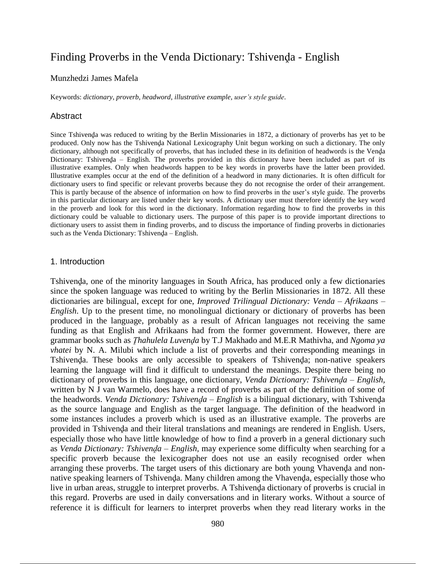# Finding Proverbs in the Venda Dictionary: Tshivenda - English

#### Munzhedzi James Mafela

Keywords: *dictionary*, *proverb*, *headword*, *illustrative example*, *user's style guide*.

#### Abstract

Since Tshivenda was reduced to writing by the Berlin Missionaries in 1872, a dictionary of proverbs has yet to be produced. Only now has the Tshivenda National Lexicography Unit begun working on such a dictionary. The only dictionary, although not specifically of proverbs, that has included these in its definition of headwords is the Venda Dictionary: Tshivenda – English. The proverbs provided in this dictionary have been included as part of its illustrative examples. Only when headwords happen to be key words in proverbs have the latter been provided. Illustrative examples occur at the end of the definition of a headword in many dictionaries. It is often difficult for dictionary users to find specific or relevant proverbs because they do not recognise the order of their arrangement. This is partly because of the absence of information on how to find proverbs in the user's style guide. The proverbs in this particular dictionary are listed under their key words. A dictionary user must therefore identify the key word in the proverb and look for this word in the dictionary. Information regarding how to find the proverbs in this dictionary could be valuable to dictionary users. The purpose of this paper is to provide important directions to dictionary users to assist them in finding proverbs, and to discuss the importance of finding proverbs in dictionaries such as the Venda Dictionary: Tshivenda – English.

#### 1. Introduction

Tshivenda, one of the minority languages in South Africa, has produced only a few dictionaries since the spoken language was reduced to writing by the Berlin Missionaries in 1872. All these dictionaries are bilingual, except for one, *Improved Trilingual Dictionary: Venda – Afrikaans – English*. Up to the present time, no monolingual dictionary or dictionary of proverbs has been produced in the language, probably as a result of African languages not receiving the same funding as that English and Afrikaans had from the former government. However, there are grammar books such as *Ṱhahulela Luvenḓa* by T.J Makhado and M.E.R Mathivha, and *Ngoma ya vhatei* by N. A. Milubi which include a list of proverbs and their corresponding meanings in Tshivenda. These books are only accessible to speakers of Tshivenda; non-native speakers learning the language will find it difficult to understand the meanings. Despite there being no dictionary of proverbs in this language, one dictionary, *Venda Dictionary: Tshivenda – English*, written by N J van Warmelo, does have a record of proverbs as part of the definition of some of the headwords. *Venda Dictionary: Tshivenda – English* is a bilingual dictionary, with Tshivenda as the source language and English as the target language. The definition of the headword in some instances includes a proverb which is used as an illustrative example. The proverbs are provided in Tshivenḍa and their literal translations and meanings are rendered in English. Users, especially those who have little knowledge of how to find a proverb in a general dictionary such as *Venda Dictionary: Tshivenda – English*, may experience some difficulty when searching for a specific proverb because the lexicographer does not use an easily recognised order when arranging these proverbs. The target users of this dictionary are both young Vhavenda and nonnative speaking learners of Tshivenḍa. Many children among the Vhavenḍa, especially those who live in urban areas, struggle to interpret proverbs. A Tshiven $\phi$  dictionary of proverbs is crucial in this regard. Proverbs are used in daily conversations and in literary works. Without a source of reference it is difficult for learners to interpret proverbs when they read literary works in the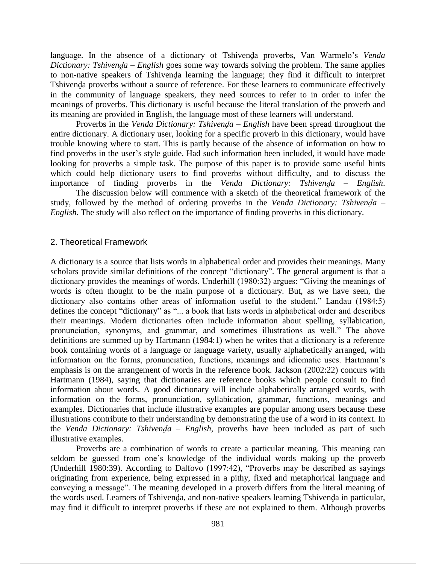language. In the absence of a dictionary of Tshivenda proverbs, Van Warmelo's *Venda Dictionary: Tshivenḓa – English* goes some way towards solving the problem*.* The same applies to non-native speakers of Tshivenda learning the language; they find it difficult to interpret Tshivenda proverbs without a source of reference. For these learners to communicate effectively in the community of language speakers, they need sources to refer to in order to infer the meanings of proverbs. This dictionary is useful because the literal translation of the proverb and its meaning are provided in English, the language most of these learners will understand.

Proverbs in the *Venda Dictionary: Tshivenda – English* have been spread throughout the entire dictionary. A dictionary user, looking for a specific proverb in this dictionary, would have trouble knowing where to start. This is partly because of the absence of information on how to find proverbs in the user's style guide. Had such information been included, it would have made looking for proverbs a simple task. The purpose of this paper is to provide some useful hints which could help dictionary users to find proverbs without difficulty, and to discuss the importance of finding proverbs in the *Venda Dictionary: Tshivenḓa – English*.

The discussion below will commence with a sketch of the theoretical framework of the study, followed by the method of ordering proverbs in the *Venda Dictionary: Tshivenda – English.* The study will also reflect on the importance of finding proverbs in this dictionary.

# 2. Theoretical Framework

A dictionary is a source that lists words in alphabetical order and provides their meanings. Many scholars provide similar definitions of the concept "dictionary". The general argument is that a dictionary provides the meanings of words. Underhill (1980:32) argues: "Giving the meanings of words is often thought to be the main purpose of a dictionary. But, as we have seen, the dictionary also contains other areas of information useful to the student." Landau (1984:5) defines the concept "dictionary" as "... a book that lists words in alphabetical order and describes their meanings. Modern dictionaries often include information about spelling, syllabication, pronunciation, synonyms, and grammar, and sometimes illustrations as well." The above definitions are summed up by Hartmann (1984:1) when he writes that a dictionary is a reference book containing words of a language or language variety, usually alphabetically arranged, with information on the forms, pronunciation, functions, meanings and idiomatic uses. Hartmann's emphasis is on the arrangement of words in the reference book. Jackson (2002:22) concurs with Hartmann (1984), saying that dictionaries are reference books which people consult to find information about words. A good dictionary will include alphabetically arranged words, with information on the forms, pronunciation, syllabication, grammar, functions, meanings and examples. Dictionaries that include illustrative examples are popular among users because these illustrations contribute to their understanding by demonstrating the use of a word in its context. In the *Venda Dictionary: Tshivenḓa – English,* proverbs have been included as part of such illustrative examples.

Proverbs are a combination of words to create a particular meaning. This meaning can seldom be guessed from one's knowledge of the individual words making up the proverb (Underhill 1980:39). According to Dalfovo (1997:42), "Proverbs may be described as sayings originating from experience, being expressed in a pithy, fixed and metaphorical language and conveying a message". The meaning developed in a proverb differs from the literal meaning of the words used. Learners of Tshivenda, and non-native speakers learning Tshivenda in particular, may find it difficult to interpret proverbs if these are not explained to them. Although proverbs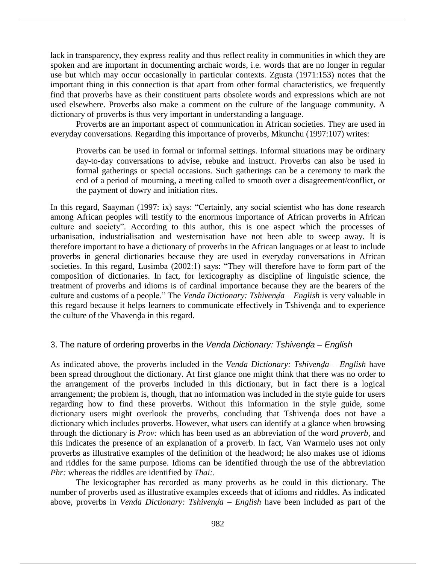lack in transparency, they express reality and thus reflect reality in communities in which they are spoken and are important in documenting archaic words, i.e. words that are no longer in regular use but which may occur occasionally in particular contexts. Zgusta (1971:153) notes that the important thing in this connection is that apart from other formal characteristics, we frequently find that proverbs have as their constituent parts obsolete words and expressions which are not used elsewhere. Proverbs also make a comment on the culture of the language community. A dictionary of proverbs is thus very important in understanding a language.

Proverbs are an important aspect of communication in African societies. They are used in everyday conversations. Regarding this importance of proverbs, Mkunchu (1997:107) writes:

Proverbs can be used in formal or informal settings. Informal situations may be ordinary day-to-day conversations to advise, rebuke and instruct. Proverbs can also be used in formal gatherings or special occasions. Such gatherings can be a ceremony to mark the end of a period of mourning, a meeting called to smooth over a disagreement/conflict, or the payment of dowry and initiation rites.

In this regard, Saayman (1997: ix) says: "Certainly, any social scientist who has done research among African peoples will testify to the enormous importance of African proverbs in African culture and society". According to this author, this is one aspect which the processes of urbanisation, industrialisation and westernisation have not been able to sweep away. It is therefore important to have a dictionary of proverbs in the African languages or at least to include proverbs in general dictionaries because they are used in everyday conversations in African societies. In this regard, Lusimba (2002:1) says: "They will therefore have to form part of the composition of dictionaries. In fact, for lexicography as discipline of linguistic science, the treatment of proverbs and idioms is of cardinal importance because they are the bearers of the culture and customs of a people." The *Venda Dictionary: Tshivenda – English* is very valuable in this regard because it helps learners to communicate effectively in Tshivenḓa and to experience the culture of the Vhavenḓa in this regard.

# 3. The nature of ordering proverbs in the *Venda Dictionary: Tshivenḓa – English*

As indicated above, the proverbs included in the *Venda Dictionary: Tshivenḓa – English* have been spread throughout the dictionary. At first glance one might think that there was no order to the arrangement of the proverbs included in this dictionary, but in fact there is a logical arrangement; the problem is, though, that no information was included in the style guide for users regarding how to find these proverbs. Without this information in the style guide, some dictionary users might overlook the proverbs, concluding that Tshivenḓa does not have a dictionary which includes proverbs. However, what users can identify at a glance when browsing through the dictionary is *Prov: w*hich has been used as an abbreviation of the word *proverb,* and this indicates the presence of an explanation of a proverb. In fact, Van Warmelo uses not only proverbs as illustrative examples of the definition of the headword; he also makes use of idioms and riddles for the same purpose. Idioms can be identified through the use of the abbreviation *Phr:* whereas the riddles are identified by *Thai:.* 

The lexicographer has recorded as many proverbs as he could in this dictionary. The number of proverbs used as illustrative examples exceeds that of idioms and riddles. As indicated above, proverbs in *Venda Dictionary: Tshivenda – English* have been included as part of the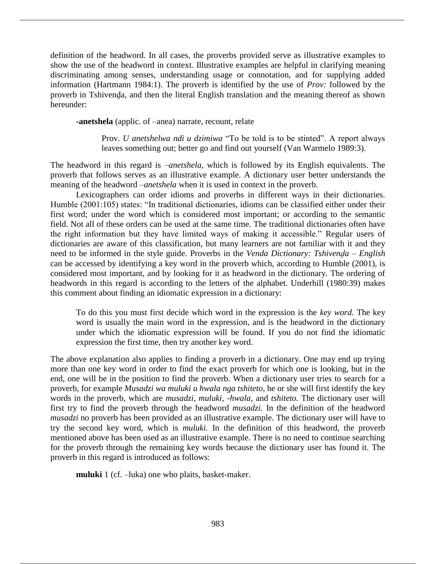definition of the headword. In all cases, the proverbs provided serve as illustrative examples to show the use of the headword in context. Illustrative examples are helpful in clarifying meaning discriminating among senses, understanding usage or connotation, and for supplying added information (Hartmann 1984:1). The proverb is identified by the use of *Prov:* followed by the proverb in Tshivenḓa, and then the literal English translation and the meaning thereof as shown hereunder:

**-anetshela** (applic. of –anea) narrate, recount, relate

Prov. *U anetshelwa ndi u dzimiwa* "To be told is to be stinted". A report always leaves something out; better go and find out yourself (Van Warmelo 1989:3).

The headword in this regard is *–anetshela*, which is followed by its English equivalents. The proverb that follows serves as an illustrative example. A dictionary user better understands the meaning of the headword *–anetshela* when it is used in context in the proverb.

Lexicographers can order idioms and proverbs in different ways in their dictionaries. Humble (2001:105) states: "In traditional dictionaries, idioms can be classified either under their first word; under the word which is considered most important; or according to the semantic field. Not all of these orders can be used at the same time. The traditional dictionaries often have the right information but they have limited ways of making it accessible." Regular users of dictionaries are aware of this classification, but many learners are not familiar with it and they need to be informed in the style guide. Proverbs in the *Venda Dictionary: Tshivenda – English* can be accessed by identifying a key word in the proverb which, according to Humble (2001), is considered most important, and by looking for it as headword in the dictionary. The ordering of headwords in this regard is according to the letters of the alphabet. Underhill (1980:39) makes this comment about finding an idiomatic expression in a dictionary:

To do this you must first decide which word in the expression is the *key word.* The key word is usually the main word in the expression, and is the headword in the dictionary under which the idiomatic expression will be found. If you do not find the idiomatic expression the first time, then try another key word.

The above explanation also applies to finding a proverb in a dictionary. One may end up trying more than one key word in order to find the exact proverb for which one is looking, but in the end, one will be in the position to find the proverb. When a dictionary user tries to search for a proverb, for example *Musadzi wa muluki u hwala nga tshiteto,* he or she will first identify the key words in the proverb, which are *musadzi, muluki, -hwala,* and *tshiteto.* The dictionary user will first try to find the proverb through the headword *musadzi.* In the definition of the headword *musadzi* no proverb has been provided as an illustrative example. The dictionary user will have to try the second key word, which is *muluki.* In the definition of this headword, the proverb mentioned above has been used as an illustrative example. There is no need to continue searching for the proverb through the remaining key words because the dictionary user has found it. The proverb in this regard is introduced as follows:

**muluki** 1 (cf. –luka) one who plaits, basket-maker.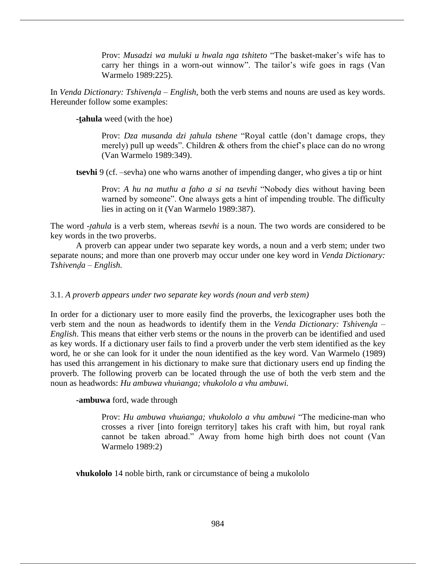Prov: *Musadzi wa muluki u hwala nga tshiteto* "The basket-maker's wife has to carry her things in a worn-out winnow". The tailor's wife goes in rags (Van Warmelo 1989:225).

In *Venda Dictionary: Tshivenḓa – English*, both the verb stems and nouns are used as key words. Hereunder follow some examples:

**-tahula** weed (with the hoe)

Prov: *Dza musanda dzi tahula tshene* "Royal cattle (don't damage crops, they merely) pull up weeds". Children & others from the chief's place can do no wrong (Van Warmelo 1989:349).

**tsevhi** 9 (cf. –sevha) one who warns another of impending danger, who gives a tip or hint

Prov: *A hu na muthu a faho a si na tsevhi* "Nobody dies without having been warned by someone". One always gets a hint of impending trouble. The difficulty lies in acting on it (Van Warmelo 1989:387).

The word *-tahula* is a verb stem, whereas *tsevhi* is a noun. The two words are considered to be key words in the two proverbs.

A proverb can appear under two separate key words, a noun and a verb stem; under two separate nouns; and more than one proverb may occur under one key word in *Venda Dictionary: Tshivenḓa – English.*

# 3.1. *A proverb appears under two separate key words (noun and verb stem)*

In order for a dictionary user to more easily find the proverbs, the lexicographer uses both the verb stem and the noun as headwords to identify them in the *Venda Dictionary: Tshivenda – English*. This means that either verb stems or the nouns in the proverb can be identified and used as key words. If a dictionary user fails to find a proverb under the verb stem identified as the key word, he or she can look for it under the noun identified as the key word. Van Warmelo (1989) has used this arrangement in his dictionary to make sure that dictionary users end up finding the proverb. The following proverb can be located through the use of both the verb stem and the noun as headwords: *Hu ambuwa vhuṅanga; vhukololo a vhu ambuwi.*

**-ambuwa** ford, wade through

Prov: *Hu ambuwa vhuṅanga; vhukololo a vhu ambuwi* "The medicine-man who crosses a river [into foreign territory] takes his craft with him, but royal rank cannot be taken abroad." Away from home high birth does not count (Van Warmelo 1989:2)

**vhukololo** 14 noble birth, rank or circumstance of being a mukololo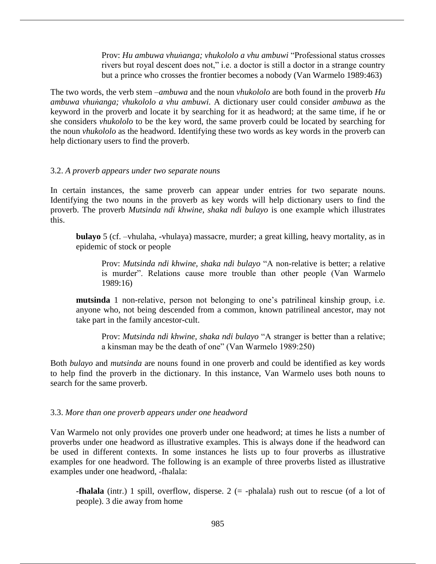Prov: *Hu ambuwa vhuṅanga; vhukololo a vhu ambuwi* "Professional status crosses rivers but royal descent does not," i.e. a doctor is still a doctor in a strange country but a prince who crosses the frontier becomes a nobody (Van Warmelo 1989:463)

The two words, the verb stem *–ambuwa* and the noun *vhukololo* are both found in the proverb *Hu ambuwa vhuṅanga; vhukololo a vhu ambuwi.* A dictionary user could consider *ambuwa* as the keyword in the proverb and locate it by searching for it as headword; at the same time, if he or she considers *vhukololo* to be the key word, the same proverb could be located by searching for the noun *vhukololo* as the headword. Identifying these two words as key words in the proverb can help dictionary users to find the proverb.

# 3.2. *A proverb appears under two separate nouns*

In certain instances, the same proverb can appear under entries for two separate nouns. Identifying the two nouns in the proverb as key words will help dictionary users to find the proverb. The proverb *Mutsinda ndi khwine, shaka ndi bulayo* is one example which illustrates this.

**bulayo** 5 (cf. –vhulaha, -vhulaya) massacre, murder; a great killing, heavy mortality, as in epidemic of stock or people

Prov: *Mutsinda ndi khwine, shaka ndi bulayo* "A non-relative is better; a relative is murder". Relations cause more trouble than other people (Van Warmelo 1989:16)

**mutsinda** 1 non-relative, person not belonging to one's patrilineal kinship group, i.e. anyone who, not being descended from a common, known patrilineal ancestor, may not take part in the family ancestor-cult.

Prov: *Mutsinda ndi khwine, shaka ndi bulayo* "A stranger is better than a relative; a kinsman may be the death of one" (Van Warmelo 1989:250)

Both *bulayo* and *mutsinda* are nouns found in one proverb and could be identified as key words to help find the proverb in the dictionary. In this instance, Van Warmelo uses both nouns to search for the same proverb.

# 3.3. *More than one proverb appears under one headword*

Van Warmelo not only provides one proverb under one headword; at times he lists a number of proverbs under one headword as illustrative examples. This is always done if the headword can be used in different contexts. In some instances he lists up to four proverbs as illustrative examples for one headword. The following is an example of three proverbs listed as illustrative examples under one headword, -fhalala:

**-fhalala** (intr.) 1 spill, overflow, disperse. 2 (= -phalala) rush out to rescue (of a lot of people). 3 die away from home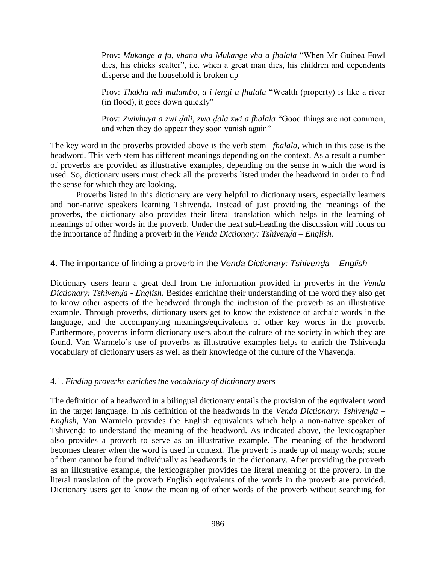Prov: *Mukange a fa, vhana vha Mukange vha a fhalala* "When Mr Guinea Fowl dies, his chicks scatter", i.e. when a great man dies, his children and dependents disperse and the household is broken up

Prov: *Thakha ndi mulambo, a i lengi u fhalala* "Wealth (property) is like a river (in flood), it goes down quickly"

Prov: *Zwivhuya a zwi dali, zwa dala zwi a fhalala* "Good things are not common, and when they do appear they soon vanish again"

The key word in the proverbs provided above is the verb stem *–fhalala*, which in this case is the headword. This verb stem has different meanings depending on the context. As a result a number of proverbs are provided as illustrative examples, depending on the sense in which the word is used. So, dictionary users must check all the proverbs listed under the headword in order to find the sense for which they are looking.

Proverbs listed in this dictionary are very helpful to dictionary users, especially learners and non-native speakers learning Tshivenda. Instead of just providing the meanings of the proverbs, the dictionary also provides their literal translation which helps in the learning of meanings of other words in the proverb. Under the next sub-heading the discussion will focus on the importance of finding a proverb in the *Venda Dictionary: Tshivenḓa – English.*

# 4. The importance of finding a proverb in the *Venda Dictionary: Tshivenḓa – English*

Dictionary users learn a great deal from the information provided in proverbs in the *Venda Dictionary: Tshivenḓa - English*. Besides enriching their understanding of the word they also get to know other aspects of the headword through the inclusion of the proverb as an illustrative example. Through proverbs, dictionary users get to know the existence of archaic words in the language, and the accompanying meanings/equivalents of other key words in the proverb. Furthermore, proverbs inform dictionary users about the culture of the society in which they are found. Van Warmelo's use of proverbs as illustrative examples helps to enrich the Tshivenda vocabulary of dictionary users as well as their knowledge of the culture of the Vhavenda.

# 4.1. *Finding proverbs enriches the vocabulary of dictionary users*

The definition of a headword in a bilingual dictionary entails the provision of the equivalent word in the target language. In his definition of the headwords in the *Venda Dictionary: Tshivenda – English,* Van Warmelo provides the English equivalents which help a non-native speaker of Tshivenḓa to understand the meaning of the headword. As indicated above, the lexicographer also provides a proverb to serve as an illustrative example. The meaning of the headword becomes clearer when the word is used in context. The proverb is made up of many words; some of them cannot be found individually as headwords in the dictionary. After providing the proverb as an illustrative example, the lexicographer provides the literal meaning of the proverb. In the literal translation of the proverb English equivalents of the words in the proverb are provided. Dictionary users get to know the meaning of other words of the proverb without searching for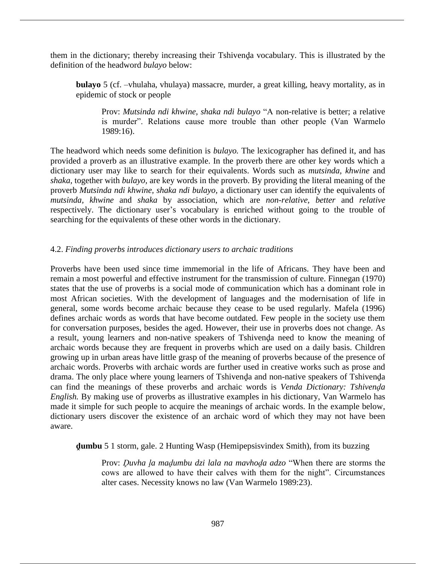them in the dictionary; thereby increasing their Tshivenḓa vocabulary. This is illustrated by the definition of the headword *bulayo* below:

**bulayo** 5 (cf. –vhulaha, vhulaya) massacre, murder, a great killing, heavy mortality, as in epidemic of stock or people

Prov: *Mutsinda ndi khwine, shaka ndi bulayo* "A non-relative is better; a relative is murder". Relations cause more trouble than other people (Van Warmelo 1989:16).

The headword which needs some definition is *bulayo.* The lexicographer has defined it, and has provided a proverb as an illustrative example. In the proverb there are other key words which a dictionary user may like to search for their equivalents. Words such as *mutsinda, khwine* and *shaka,* together with *bulayo,* are key words in the proverb. By providing the literal meaning of the proverb *Mutsinda ndi khwine, shaka ndi bulayo,* a dictionary user can identify the equivalents of *mutsinda, khwine* and *shaka* by association, which are *non-relative, better* and *relative*  respectively. The dictionary user's vocabulary is enriched without going to the trouble of searching for the equivalents of these other words in the dictionary.

# 4.2. *Finding proverbs introduces dictionary users to archaic traditions*

Proverbs have been used since time immemorial in the life of Africans. They have been and remain a most powerful and effective instrument for the transmission of culture. Finnegan (1970) states that the use of proverbs is a social mode of communication which has a dominant role in most African societies. With the development of languages and the modernisation of life in general, some words become archaic because they cease to be used regularly. Mafela (1996) defines archaic words as words that have become outdated. Few people in the society use them for conversation purposes, besides the aged. However, their use in proverbs does not change. As a result, young learners and non-native speakers of Tshivenda need to know the meaning of archaic words because they are frequent in proverbs which are used on a daily basis. Children growing up in urban areas have little grasp of the meaning of proverbs because of the presence of archaic words. Proverbs with archaic words are further used in creative works such as prose and drama. The only place where young learners of Tshivenda and non-native speakers of Tshivenda can find the meanings of these proverbs and archaic words is *Venda Dictionary: Tshivenḓa English.* By making use of proverbs as illustrative examples in his dictionary, Van Warmelo has made it simple for such people to acquire the meanings of archaic words. In the example below, dictionary users discover the existence of an archaic word of which they may not have been aware.

**ḓumbu** 5 1 storm, gale. 2 Hunting Wasp (Hemipepsisvindex Smith), from its buzzing

Prov: *Ḓuvha ḽa maḓumbu dzi lala na mavhoḓa adzo* "When there are storms the cows are allowed to have their calves with them for the night". Circumstances alter cases. Necessity knows no law (Van Warmelo 1989:23).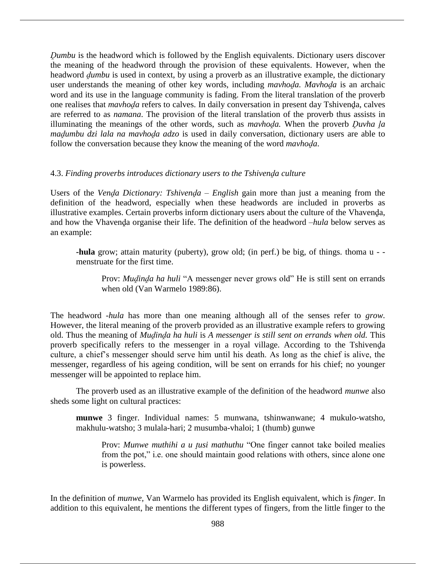*Dumbu* is the headword which is followed by the English equivalents. Dictionary users discover the meaning of the headword through the provision of these equivalents. However, when the headword *dumbu* is used in context, by using a proverb as an illustrative example, the dictionary user understands the meaning of other key words, including *mavhoda*. Mavhoda is an archaic word and its use in the language community is fading. From the literal translation of the proverb one realises that *mavhoda* refers to calves. In daily conversation in present day Tshivenda, calves are referred to as *namana*. The provision of the literal translation of the proverb thus assists in illuminating the meanings of the other words, such as *mavhoda*. When the proverb *Duvha la madumbu dzi lala na mavhoda adzo* is used in daily conversation, dictionary users are able to follow the conversation because they know the meaning of the word *mavhoda*.

#### 4.3. *Finding proverbs introduces dictionary users to the Tshivenḓa culture*

Users of the *Venda Dictionary: Tshivenda – English* gain more than just a meaning from the definition of the headword, especially when these headwords are included in proverbs as illustrative examples. Certain proverbs inform dictionary users about the culture of the Vhavenda, and how the Vhavenḓa organise their life. The definition of the headword *–hula* below serves as an example:

**-hula** grow; attain maturity (puberty), grow old; (in perf.) be big, of things. thoma u - menstruate for the first time.

Prov: *Muḍinḍa ha huli* "A messenger never grows old" He is still sent on errands when old (Van Warmelo 1989:86).

The headword *-hula* has more than one meaning although all of the senses refer to *grow.* However, the literal meaning of the proverb provided as an illustrative example refers to growing old. Thus the meaning of *Mudinda ha huli* is *A messenger is still sent on errands when old.* This proverb specifically refers to the messenger in a royal village. According to the Tshivenda culture, a chief's messenger should serve him until his death. As long as the chief is alive, the messenger, regardless of his ageing condition, will be sent on errands for his chief; no younger messenger will be appointed to replace him.

The proverb used as an illustrative example of the definition of the headword *munwe* also sheds some light on cultural practices:

**munwe** 3 finger. Individual names: 5 munwana, tshinwanwane; 4 mukulo-watsho, makhulu-watsho; 3 mulala-hari; 2 musumba-vhaloi; 1 (thumb) gunwe

Prov: *Munwe muthihi a u tusi mathuthu* "One finger cannot take boiled mealies from the pot," i.e. one should maintain good relations with others, since alone one is powerless.

In the definition of *munwe,* Van Warmelo has provided its English equivalent, which is *finger*. In addition to this equivalent, he mentions the different types of fingers, from the little finger to the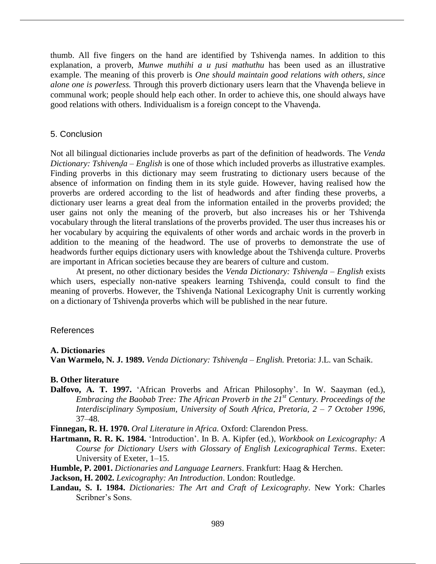thumb. All five fingers on the hand are identified by Tshivenḓa names. In addition to this explanation, a proverb, *Munwe muthihi a u țusi mathuthu* has been used as an illustrative example. The meaning of this proverb is *One should maintain good relations with others, since alone one is powerless*. Through this proverb dictionary users learn that the Vhavenda believe in communal work; people should help each other. In order to achieve this, one should always have good relations with others. Individualism is a foreign concept to the Vhavenda.

# 5. Conclusion

Not all bilingual dictionaries include proverbs as part of the definition of headwords. The *Venda Dictionary: Tshivenḍa – English* is one of those which included proverbs as illustrative examples. Finding proverbs in this dictionary may seem frustrating to dictionary users because of the absence of information on finding them in its style guide. However, having realised how the proverbs are ordered according to the list of headwords and after finding these proverbs, a dictionary user learns a great deal from the information entailed in the proverbs provided; the user gains not only the meaning of the proverb, but also increases his or her Tshivenda vocabulary through the literal translations of the proverbs provided. The user thus increases his or her vocabulary by acquiring the equivalents of other words and archaic words in the proverb in addition to the meaning of the headword. The use of proverbs to demonstrate the use of headwords further equips dictionary users with knowledge about the Tshivenda culture. Proverbs are important in African societies because they are bearers of culture and custom.

At present, no other dictionary besides the *Venda Dictionary: Tshivenda – English* exists which users, especially non-native speakers learning Tshivenda, could consult to find the meaning of proverbs. However, the Tshivenda National Lexicography Unit is currently working on a dictionary of Tshivenḓa proverbs which will be published in the near future.

# References

# **A. Dictionaries**

**Van Warmelo, N. J. 1989.** *Venda Dictionary: Tshivenḓa – English.* Pretoria: J.L. van Schaik.

# **B. Other literature**

**Dalfovo, A. T. 1997.** 'African Proverbs and African Philosophy'. In W. Saayman (ed.), *Embracing the Baobab Tree: The African Proverb in the 21st Century. Proceedings of the Interdisciplinary Symposium, University of South Africa, Pretoria, 2 – 7 October 1996*, 37–48.

**Finnegan, R. H. 1970.** *Oral Literature in Africa.* Oxford: Clarendon Press.

**Hartmann, R. R. K. 1984.** 'Introduction'. In B. A. Kipfer (ed.), *Workbook on Lexicography: A Course for Dictionary Users with Glossary of English Lexicographical Terms*. Exeter: University of Exeter, 1–15.

**Humble, P. 2001.** *Dictionaries and Language Learners*. Frankfurt: Haag & Herchen.

**Jackson, H. 2002.** *Lexicography: An Introduction*. London: Routledge.

**Landau, S. I. 1984.** *Dictionaries: The Art and Craft of Lexicography*. New York: Charles Scribner's Sons.